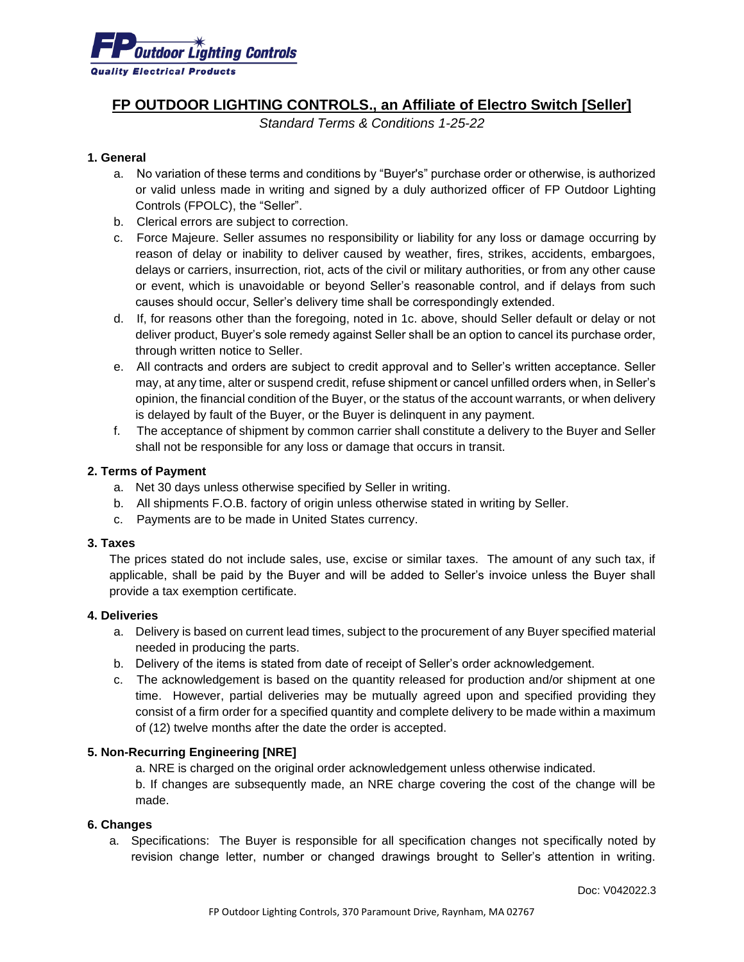

# **FP OUTDOOR LIGHTING CONTROLS., an Affiliate of Electro Switch [Seller]**

*Standard Terms & Conditions 1-25-22*

#### **1. General**

- a. No variation of these terms and conditions by "Buyer's" purchase order or otherwise, is authorized or valid unless made in writing and signed by a duly authorized officer of FP Outdoor Lighting Controls (FPOLC), the "Seller".
- b. Clerical errors are subject to correction.
- c. Force Majeure. Seller assumes no responsibility or liability for any loss or damage occurring by reason of delay or inability to deliver caused by weather, fires, strikes, accidents, embargoes, delays or carriers, insurrection, riot, acts of the civil or military authorities, or from any other cause or event, which is unavoidable or beyond Seller's reasonable control, and if delays from such causes should occur, Seller's delivery time shall be correspondingly extended.
- d. If, for reasons other than the foregoing, noted in 1c. above, should Seller default or delay or not deliver product, Buyer's sole remedy against Seller shall be an option to cancel its purchase order, through written notice to Seller.
- e. All contracts and orders are subject to credit approval and to Seller's written acceptance. Seller may, at any time, alter or suspend credit, refuse shipment or cancel unfilled orders when, in Seller's opinion, the financial condition of the Buyer, or the status of the account warrants, or when delivery is delayed by fault of the Buyer, or the Buyer is delinquent in any payment.
- f. The acceptance of shipment by common carrier shall constitute a delivery to the Buyer and Seller shall not be responsible for any loss or damage that occurs in transit.

#### **2. Terms of Payment**

- a. Net 30 days unless otherwise specified by Seller in writing.
- b. All shipments F.O.B. factory of origin unless otherwise stated in writing by Seller.
- c. Payments are to be made in United States currency.

#### **3. Taxes**

The prices stated do not include sales, use, excise or similar taxes. The amount of any such tax, if applicable, shall be paid by the Buyer and will be added to Seller's invoice unless the Buyer shall provide a tax exemption certificate.

## **4. Deliveries**

- a. Delivery is based on current lead times, subject to the procurement of any Buyer specified material needed in producing the parts.
- b. Delivery of the items is stated from date of receipt of Seller's order acknowledgement.
- c. The acknowledgement is based on the quantity released for production and/or shipment at one time. However, partial deliveries may be mutually agreed upon and specified providing they consist of a firm order for a specified quantity and complete delivery to be made within a maximum of (12) twelve months after the date the order is accepted.

## **5. Non-Recurring Engineering [NRE]**

a. NRE is charged on the original order acknowledgement unless otherwise indicated.

b. If changes are subsequently made, an NRE charge covering the cost of the change will be made.

#### **6. Changes**

a. Specifications: The Buyer is responsible for all specification changes not specifically noted by revision change letter, number or changed drawings brought to Seller's attention in writing.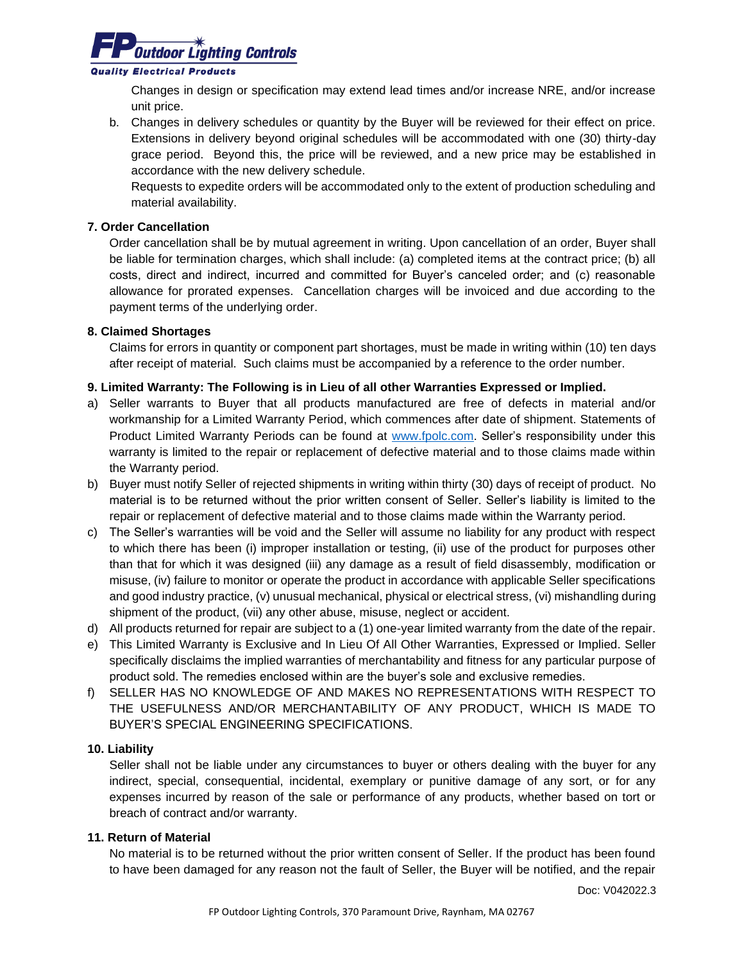

#### **Quality Electrical Products**

Changes in design or specification may extend lead times and/or increase NRE, and/or increase unit price.

b. Changes in delivery schedules or quantity by the Buyer will be reviewed for their effect on price. Extensions in delivery beyond original schedules will be accommodated with one (30) thirty-day grace period. Beyond this, the price will be reviewed, and a new price may be established in accordance with the new delivery schedule.

Requests to expedite orders will be accommodated only to the extent of production scheduling and material availability.

# **7. Order Cancellation**

Order cancellation shall be by mutual agreement in writing. Upon cancellation of an order, Buyer shall be liable for termination charges, which shall include: (a) completed items at the contract price; (b) all costs, direct and indirect, incurred and committed for Buyer's canceled order; and (c) reasonable allowance for prorated expenses. Cancellation charges will be invoiced and due according to the payment terms of the underlying order.

# **8. Claimed Shortages**

Claims for errors in quantity or component part shortages, must be made in writing within (10) ten days after receipt of material. Such claims must be accompanied by a reference to the order number.

# **9. Limited Warranty: The Following is in Lieu of all other Warranties Expressed or Implied.**

- a) Seller warrants to Buyer that all products manufactured are free of defects in material and/or workmanship for a Limited Warranty Period, which commences after date of shipment. Statements of Product Limited Warranty Periods can be found at [www.fpolc.com.](http://www.fpolc.com/) Seller's responsibility under this warranty is limited to the repair or replacement of defective material and to those claims made within the Warranty period.
- b) Buyer must notify Seller of rejected shipments in writing within thirty (30) days of receipt of product. No material is to be returned without the prior written consent of Seller. Seller's liability is limited to the repair or replacement of defective material and to those claims made within the Warranty period.
- c) The Seller's warranties will be void and the Seller will assume no liability for any product with respect to which there has been (i) improper installation or testing, (ii) use of the product for purposes other than that for which it was designed (iii) any damage as a result of field disassembly, modification or misuse, (iv) failure to monitor or operate the product in accordance with applicable Seller specifications and good industry practice, (v) unusual mechanical, physical or electrical stress, (vi) mishandling during shipment of the product, (vii) any other abuse, misuse, neglect or accident.
- d) All products returned for repair are subject to a (1) one-year limited warranty from the date of the repair.
- e) This Limited Warranty is Exclusive and In Lieu Of All Other Warranties, Expressed or Implied. Seller specifically disclaims the implied warranties of merchantability and fitness for any particular purpose of product sold. The remedies enclosed within are the buyer's sole and exclusive remedies.
- f) SELLER HAS NO KNOWLEDGE OF AND MAKES NO REPRESENTATIONS WITH RESPECT TO THE USEFULNESS AND/OR MERCHANTABILITY OF ANY PRODUCT, WHICH IS MADE TO BUYER'S SPECIAL ENGINEERING SPECIFICATIONS.

## **10. Liability**

Seller shall not be liable under any circumstances to buyer or others dealing with the buyer for any indirect, special, consequential, incidental, exemplary or punitive damage of any sort, or for any expenses incurred by reason of the sale or performance of any products, whether based on tort or breach of contract and/or warranty.

## **11. Return of Material**

No material is to be returned without the prior written consent of Seller. If the product has been found to have been damaged for any reason not the fault of Seller, the Buyer will be notified, and the repair